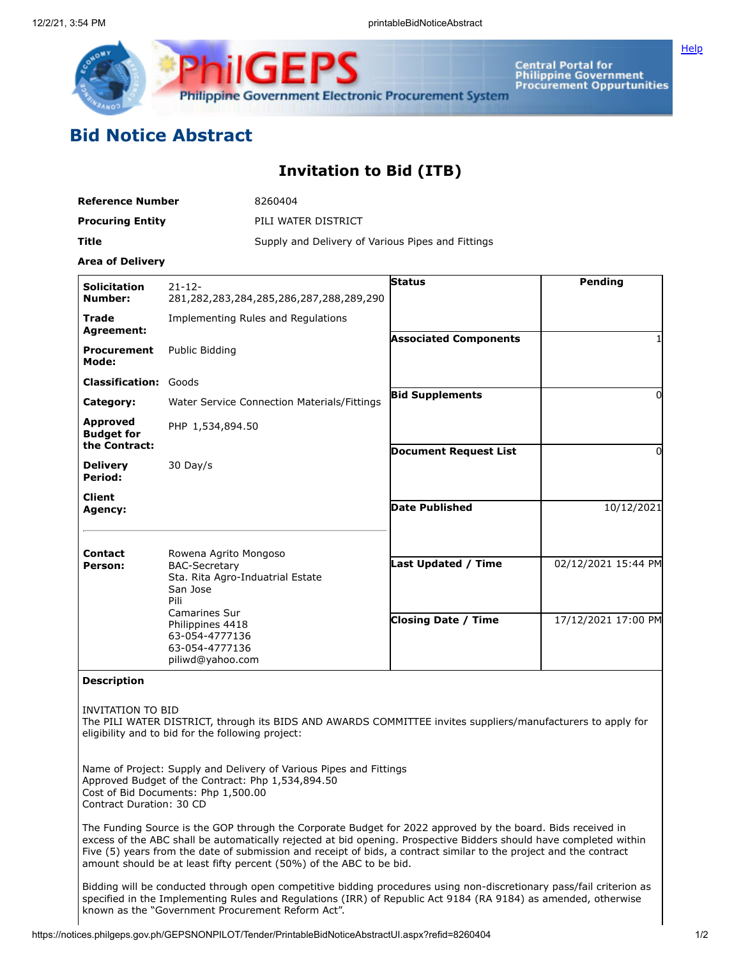

Central Portal for<br>Philippine Government<br>Procurement Oppurtunities

## **Bid Notice Abstract**

## **Invitation to Bid (ITB)**

| <b>Reference Number</b> | 8260404                                           |
|-------------------------|---------------------------------------------------|
| <b>Procuring Entity</b> | PILI WATER DISTRICT                               |
| Title                   | Supply and Delivery of Various Pipes and Fittings |

**Area of Delivery**

| <b>Solicitation</b><br>Number:                                                                                                                                                                                                  | $21 - 12 -$<br>281,282,283,284,285,286,287,288,289,290 | <b>Status</b>                | Pendina             |
|---------------------------------------------------------------------------------------------------------------------------------------------------------------------------------------------------------------------------------|--------------------------------------------------------|------------------------------|---------------------|
| <b>Trade</b><br><b>Agreement:</b>                                                                                                                                                                                               | Implementing Rules and Regulations                     |                              |                     |
| <b>Procurement</b><br>Mode:                                                                                                                                                                                                     | Public Bidding                                         | <b>Associated Components</b> |                     |
| <b>Classification: Goods</b>                                                                                                                                                                                                    |                                                        |                              |                     |
| Category:                                                                                                                                                                                                                       | Water Service Connection Materials/Fittings            | <b>Bid Supplements</b>       | 0                   |
| <b>Approved</b><br><b>Budget for</b><br>the Contract:                                                                                                                                                                           | PHP 1,534,894.50                                       |                              |                     |
| <b>Delivery</b><br>Period:                                                                                                                                                                                                      | 30 Day/s                                               | <b>Document Request List</b> | 0                   |
| <b>Client</b><br>Agency:                                                                                                                                                                                                        |                                                        | Date Published               | 10/12/2021          |
| Contact<br>Rowena Agrito Mongoso<br><b>BAC-Secretary</b><br>Person:<br>Sta. Rita Agro-Induatrial Estate<br>San Jose<br>Pili<br><b>Camarines Sur</b><br>Philippines 4418<br>63-054-4777136<br>63-054-4777136<br>piliwd@yahoo.com | Last Updated / Time                                    | 02/12/2021 15:44 PM          |                     |
|                                                                                                                                                                                                                                 |                                                        | <b>Closing Date / Time</b>   | 17/12/2021 17:00 PM |

**Description**

INVITATION TO BID

The PILI WATER DISTRICT, through its BIDS AND AWARDS COMMITTEE invites suppliers/manufacturers to apply for eligibility and to bid for the following project:

Name of Project: Supply and Delivery of Various Pipes and Fittings Approved Budget of the Contract: Php 1,534,894.50 Cost of Bid Documents: Php 1,500.00 Contract Duration: 30 CD

The Funding Source is the GOP through the Corporate Budget for 2022 approved by the board. Bids received in excess of the ABC shall be automatically rejected at bid opening. Prospective Bidders should have completed within Five (5) years from the date of submission and receipt of bids, a contract similar to the project and the contract amount should be at least fifty percent (50%) of the ABC to be bid.

Bidding will be conducted through open competitive bidding procedures using non-discretionary pass/fail criterion as specified in the Implementing Rules and Regulations (IRR) of Republic Act 9184 (RA 9184) as amended, otherwise known as the "Government Procurement Reform Act".